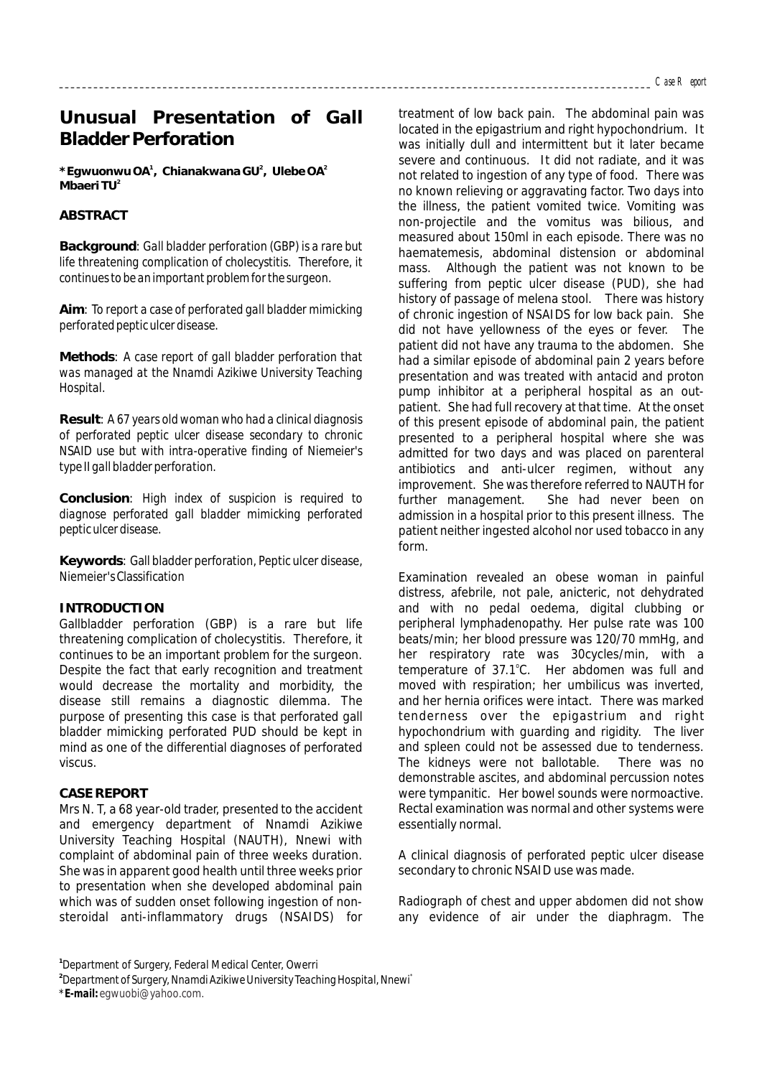# **Unusual Presentation of Gall Bladder Perforation**

**\*Egwuonwu OA , Chianakwana GU , Ulebe OA 1 2 2 <sup>2</sup> Mbaeri TU**

## **ABSTRACT**

**Background**: *Gall bladder perforation (GBP) is a rare but life threatening complication of cholecystitis. Therefore, it continues to be an important problem for the surgeon.* 

**Aim**: *To report a case of perforated gall bladder mimicking perforated peptic ulcer disease.*

**Methods**: *A case report of gall bladder perforation that was managed at the Nnamdi Azikiwe University Teaching Hospital.*

**Result**: *A 67 years old woman who had a clinical diagnosis of perforated peptic ulcer disease secondary to chronic NSAID use but with intra-operative finding of Niemeier's type II gall bladder perforation.*

**Conclusion**: *High index of suspicion is required to diagnose perforated gall bladder mimicking perforated peptic ulcer disease.* 

**Keywords**: Gall bladder perforation, Peptic ulcer disease, Niemeier's Classification

#### **INTRODUCTION**

Gallbladder perforation (GBP) is a rare but life threatening complication of cholecystitis. Therefore, it continues to be an important problem for the surgeon. Despite the fact that early recognition and treatment would decrease the mortality and morbidity, the disease still remains a diagnostic dilemma. The purpose of presenting this case is that perforated gall bladder mimicking perforated PUD should be kept in mind as one of the differential diagnoses of perforated viscus.

#### **CASE REPORT**

Mrs N. T, a 68 year-old trader, presented to the accident and emergency department of Nnamdi Azikiwe University Teaching Hospital (NAUTH), Nnewi with complaint of abdominal pain of three weeks duration. She was in apparent good health until three weeks prior to presentation when she developed abdominal pain which was of sudden onset following ingestion of nonsteroidal anti-inflammatory drugs (NSAIDS) for

treatment of low back pain. The abdominal pain was located in the epigastrium and right hypochondrium. It was initially dull and intermittent but it later became severe and continuous. It did not radiate, and it was not related to ingestion of any type of food. There was no known relieving or aggravating factor. Two days into the illness, the patient vomited twice. Vomiting was non-projectile and the vomitus was bilious, and measured about 150ml in each episode. There was no haematemesis, abdominal distension or abdominal mass. Although the patient was not known to be suffering from peptic ulcer disease (PUD), she had history of passage of melena stool. There was history of chronic ingestion of NSAIDS for low back pain. She did not have yellowness of the eyes or fever. The patient did not have any trauma to the abdomen. She had a similar episode of abdominal pain 2 years before presentation and was treated with antacid and proton pump inhibitor at a peripheral hospital as an outpatient. She had full recovery at that time. At the onset of this present episode of abdominal pain, the patient presented to a peripheral hospital where she was admitted for two days and was placed on parenteral antibiotics and anti-ulcer regimen, without any improvement. She was therefore referred to NAUTH for further management. She had never been on admission in a hospital prior to this present illness. The patient neither ingested alcohol nor used tobacco in any form.

Examination revealed an obese woman in painful distress, afebrile, not pale, anicteric, not dehydrated and with no pedal oedema, digital clubbing or peripheral lymphadenopathy. Her pulse rate was 100 beats/min; her blood pressure was 120/70 mmHg, and her respiratory rate was 30cycles/min, with a temperature of 37.1°C. Her abdomen was full and moved with respiration; her umbilicus was inverted, and her hernia orifices were intact. There was marked tenderness over the epigastrium and right hypochondrium with guarding and rigidity. The liver and spleen could not be assessed due to tenderness. The kidneys were not ballotable. There was no demonstrable ascites, and abdominal percussion notes were tympanitic. Her bowel sounds were normoactive. Rectal examination was normal and other systems were essentially normal.

A clinical diagnosis of perforated peptic ulcer disease secondary to chronic NSAID use was made.

Radiograph of chest and upper abdomen did not show any evidence of air under the diaphragm. The

**1** *Department of Surgery, Federal Medical Center, Owerri*

*\*E-mail: egwuobi@yahoo.com.* 

**<sup>2</sup>** *\* Department of Surgery, Nnamdi Azikiwe University Teaching Hospital, Nnewi*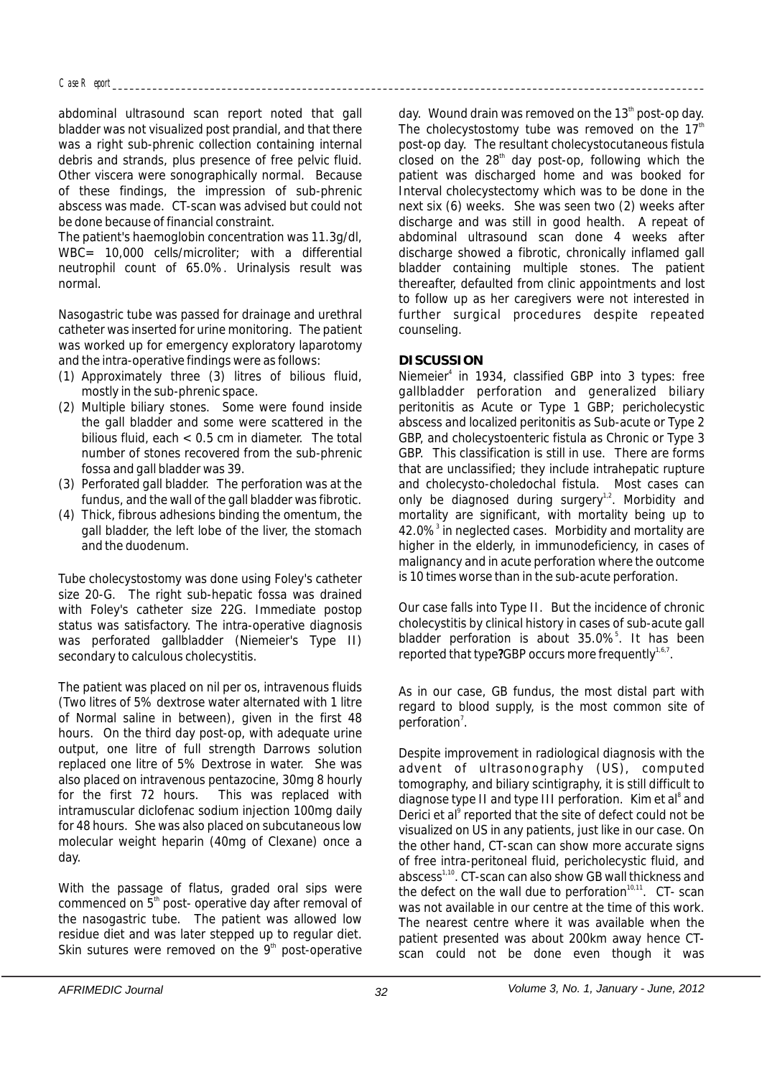abdominal ultrasound scan report noted that gall bladder was not visualized post prandial, and that there was a right sub-phrenic collection containing internal debris and strands, plus presence of free pelvic fluid. Other viscera were sonographically normal. Because of these findings, the impression of sub-phrenic abscess was made. CT-scan was advised but could not be done because of financial constraint.

The patient's haemoglobin concentration was 11.3g/dl, WBC= 10,000 cells/microliter; with a differential neutrophil count of 65.0%. Urinalysis result was normal.

Nasogastric tube was passed for drainage and urethral catheter was inserted for urine monitoring. The patient was worked up for emergency exploratory laparotomy and the intra-operative findings were as follows:

- (1) Approximately three (3) litres of bilious fluid, mostly in the sub-phrenic space.
- (2) Multiple biliary stones. Some were found inside the gall bladder and some were scattered in the bilious fluid, each < 0.5 cm in diameter. The total number of stones recovered from the sub-phrenic fossa and gall bladder was 39.
- (3) Perforated gall bladder. The perforation was at the fundus, and the wall of the gall bladder was fibrotic.
- (4) Thick, fibrous adhesions binding the omentum, the gall bladder, the left lobe of the liver, the stomach and the duodenum.

Tube cholecystostomy was done using Foley's catheter size 20-G. The right sub-hepatic fossa was drained with Foley's catheter size 22G. Immediate postop status was satisfactory. The intra-operative diagnosis was perforated gallbladder (Niemeier's Type II) secondary to calculous cholecystitis.

The patient was placed on nil per os, intravenous fluids (Two litres of 5% dextrose water alternated with 1 litre of Normal saline in between), given in the first 48 hours. On the third day post-op, with adequate urine output, one litre of full strength Darrows solution replaced one litre of 5% Dextrose in water. She was also placed on intravenous pentazocine, 30mg 8 hourly for the first 72 hours. This was replaced with intramuscular diclofenac sodium injection 100mg daily for 48 hours. She was also placed on subcutaneous low molecular weight heparin (40mg of Clexane) once a day.

With the passage of flatus, graded oral sips were commenced on  $5<sup>th</sup>$  post- operative day after removal of the nasogastric tube. The patient was allowed low residue diet and was later stepped up to regular diet. Skin sutures were removed on the  $9<sup>th</sup>$  post-operative day. Wound drain was removed on the  $13<sup>th</sup>$  post-op day. The cholecystostomy tube was removed on the  $17<sup>th</sup>$ post-op day. The resultant cholecystocutaneous fistula closed on the  $28<sup>th</sup>$  day post-op, following which the patient was discharged home and was booked for Interval cholecystectomy which was to be done in the next six (6) weeks. She was seen two (2) weeks after discharge and was still in good health. A repeat of abdominal ultrasound scan done 4 weeks after discharge showed a fibrotic, chronically inflamed gall bladder containing multiple stones. The patient thereafter, defaulted from clinic appointments and lost to follow up as her caregivers were not interested in further surgical procedures despite repeated counseling.

### **DISCUSSION**

Niemeier<sup>4</sup> in 1934, classified GBP into 3 types: free gallbladder perforation and generalized biliary peritonitis as Acute or Type 1 GBP; pericholecystic abscess and localized peritonitis as Sub-acute or Type 2 GBP, and cholecystoenteric fistula as Chronic or Type 3 GBP. This classification is still in use. There are forms that are unclassified; they include intrahepatic rupture and cholecysto-choledochal fistula. Most cases can only be diagnosed during surgery<sup>1,2</sup>. Morbidity and mortality are significant, with mortality being up to 42.0%<sup>3</sup> in neglected cases. Morbidity and mortality are higher in the elderly, in immunodeficiency, in cases of malignancy and in acute perforation where the outcome is 10 times worse than in the sub-acute perforation.

Our case falls into Type II. But the incidence of chronic cholecystitis by clinical history in cases of sub-acute gall bladder perforation is about 35.0%<sup>5</sup>. It has been reported that type?GBP occurs more frequently<sup>1,6,7</sup>.

As in our case, GB fundus, the most distal part with regard to blood supply, is the most common site of perforation<sup>7</sup>.

Despite improvement in radiological diagnosis with the advent of ultrasonography (US), computed tomography, and biliary scintigraphy, it is still difficult to diagnose type II and type III perforation. Kim et al<sup>8</sup> and Derici et al<sup>9</sup> reported that the site of defect could not be visualized on US in any patients, just like in our case. On the other hand, CT-scan can show more accurate signs of free intra-peritoneal fluid, pericholecystic fluid, and abscess<sup>1,10</sup>. CT-scan can also show GB wall thickness and the defect on the wall due to perforation $10,11$ . CT- scan was not available in our centre at the time of this work. The nearest centre where it was available when the patient presented was about 200km away hence CTscan could not be done even though it was